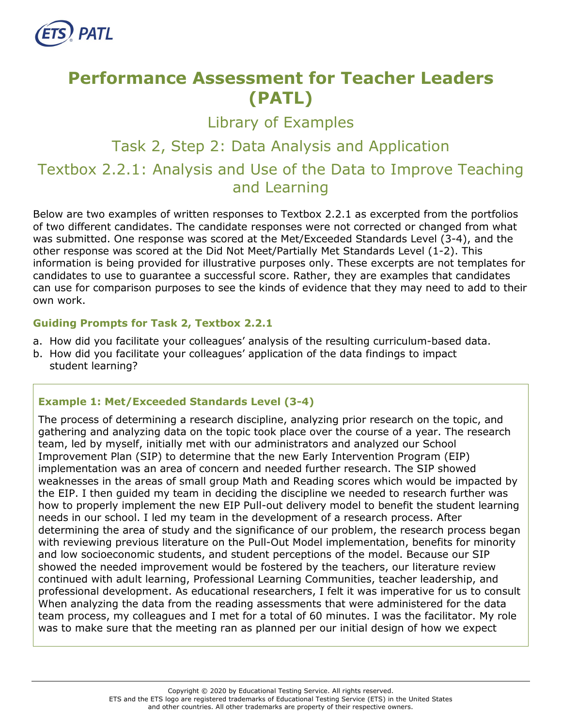

# **Performance Assessment for Teacher Leaders (PATL)**

Library of Examples

# Task 2, Step 2: Data Analysis and Application

Textbox 2.2.1: Analysis and Use of the Data to Improve Teaching and Learning

Below are two examples of written responses to Textbox 2.2.1 as excerpted from the portfolios of two different candidates. The candidate responses were not corrected or changed from what was submitted. One response was scored at the Met/Exceeded Standards Level (3-4), and the other response was scored at the Did Not Meet/Partially Met Standards Level (1-2). This information is being provided for illustrative purposes only. These excerpts are not templates for candidates to use to guarantee a successful score. Rather, they are examples that candidates can use for comparison purposes to see the kinds of evidence that they may need to add to their own work.

#### **Guiding Prompts for Task 2, Textbox 2.2.1**

- a. How did you facilitate your colleagues' analysis of the resulting curriculum-based data.
- b. How did you facilitate your colleagues' application of the data findings to impact student learning?

#### **Example 1: Met/Exceeded Standards Level (3-4)**

The process of determining a research discipline, analyzing prior research on the topic, and gathering and analyzing data on the topic took place over the course of a year. The research team, led by myself, initially met with our administrators and analyzed our School Improvement Plan (SIP) to determine that the new Early Intervention Program (EIP) implementation was an area of concern and needed further research. The SIP showed weaknesses in the areas of small group Math and Reading scores which would be impacted by the EIP. I then guided my team in deciding the discipline we needed to research further was how to properly implement the new EIP Pull-out delivery model to benefit the student learning needs in our school. I led my team in the development of a research process. After determining the area of study and the significance of our problem, the research process began with reviewing previous literature on the Pull-Out Model implementation, benefits for minority and low socioeconomic students, and student perceptions of the model. Because our SIP showed the needed improvement would be fostered by the teachers, our literature review continued with adult learning, Professional Learning Communities, teacher leadership, and professional development. As educational researchers, I felt it was imperative for us to consult When analyzing the data from the reading assessments that were administered for the data team process, my colleagues and I met for a total of 60 minutes. I was the facilitator. My role was to make sure that the meeting ran as planned per our initial design of how we expect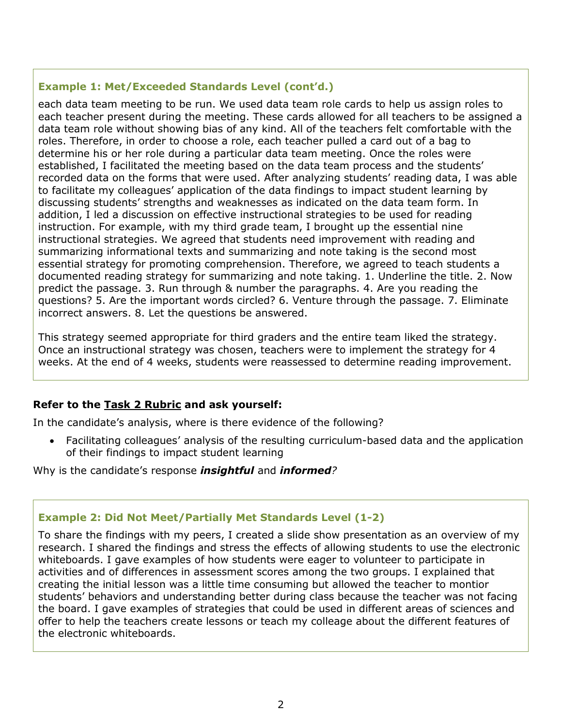# **Example 1: Met/Exceeded Standards Level (cont'd.)**

each data team meeting to be run. We used data team role cards to help us assign roles to each teacher present during the meeting. These cards allowed for all teachers to be assigned a data team role without showing bias of any kind. All of the teachers felt comfortable with the roles. Therefore, in order to choose a role, each teacher pulled a card out of a bag to determine his or her role during a particular data team meeting. Once the roles were established, I facilitated the meeting based on the data team process and the students' recorded data on the forms that were used. After analyzing students' reading data, I was able to facilitate my colleagues' application of the data findings to impact student learning by discussing students' strengths and weaknesses as indicated on the data team form. In addition, I led a discussion on effective instructional strategies to be used for reading instruction. For example, with my third grade team, I brought up the essential nine instructional strategies. We agreed that students need improvement with reading and summarizing informational texts and summarizing and note taking is the second most essential strategy for promoting comprehension. Therefore, we agreed to teach students a documented reading strategy for summarizing and note taking. 1. Underline the title. 2. Now predict the passage. 3. Run through & number the paragraphs. 4. Are you reading the questions? 5. Are the important words circled? 6. Venture through the passage. 7. Eliminate incorrect answers. 8. Let the questions be answered.

This strategy seemed appropriate for third graders and the entire team liked the strategy. Once an instructional strategy was chosen, teachers were to implement the strategy for 4 weeks. At the end of 4 weeks, students were reassessed to determine reading improvement.

# **Refer to the [Task 2](http://gace.ets.org/s/pdf/gace_teacher_leadership_assessment_task_2_rubric.pdf) Rubric and ask yourself:**

In the candidate's analysis, where is there evidence of the following?

• Facilitating colleagues' analysis of the resulting curriculum-based data and the application of their findings to impact student learning

Why is the candidate's response *insightful* and *informed?*

#### **Example 2: Did Not Meet/Partially Met Standards Level (1-2)**

To share the findings with my peers, I created a slide show presentation as an overview of my research. I shared the findings and stress the effects of allowing students to use the electronic whiteboards. I gave examples of how students were eager to volunteer to participate in activities and of differences in assessment scores among the two groups. I explained that creating the initial lesson was a little time consuming but allowed the teacher to montior students' behaviors and understanding better during class because the teacher was not facing the board. I gave examples of strategies that could be used in different areas of sciences and offer to help the teachers create lessons or teach my colleage about the different features of the electronic whiteboards.